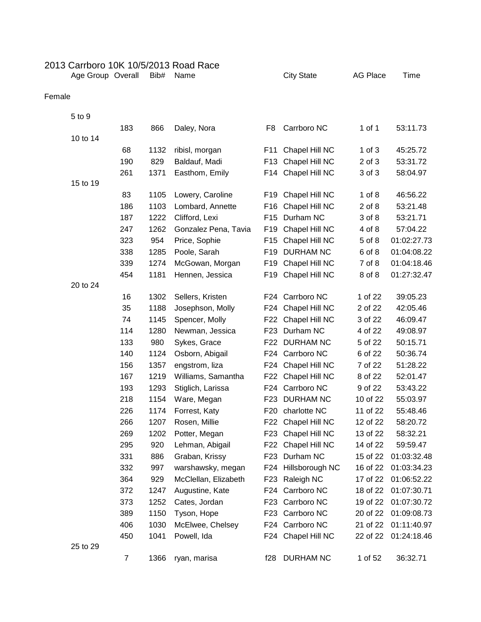## 2013 Carrboro 10K 10/5/2013 Road Race Age Group Overall Bib# Name City State AG Place Time

## Female

| 5 to 9   |     |      |                      |                 |                     |            |             |
|----------|-----|------|----------------------|-----------------|---------------------|------------|-------------|
|          | 183 | 866  | Daley, Nora          | F <sub>8</sub>  | Carrboro NC         | $1$ of $1$ | 53:11.73    |
| 10 to 14 |     |      |                      |                 |                     |            |             |
|          | 68  | 1132 | ribisl, morgan       | F11             | Chapel Hill NC      | $1$ of $3$ | 45:25.72    |
|          | 190 | 829  | Baldauf, Madi        | F <sub>13</sub> | Chapel Hill NC      | 2 of 3     | 53:31.72    |
|          | 261 | 1371 | Easthom, Emily       | F14             | Chapel Hill NC      | 3 of 3     | 58:04.97    |
| 15 to 19 |     |      |                      |                 |                     |            |             |
|          | 83  | 1105 | Lowery, Caroline     | F <sub>19</sub> | Chapel Hill NC      | $1$ of $8$ | 46:56.22    |
|          | 186 | 1103 | Lombard, Annette     | F <sub>16</sub> | Chapel Hill NC      | $2$ of $8$ | 53:21.48    |
|          | 187 | 1222 | Clifford, Lexi       | F <sub>15</sub> | Durham NC           | 3 of 8     | 53:21.71    |
|          | 247 | 1262 | Gonzalez Pena, Tavia | F <sub>19</sub> | Chapel Hill NC      | 4 of 8     | 57:04.22    |
|          | 323 | 954  | Price, Sophie        | F <sub>15</sub> | Chapel Hill NC      | 5 of 8     | 01:02:27.73 |
|          | 338 | 1285 | Poole, Sarah         | F <sub>19</sub> | <b>DURHAM NC</b>    | 6 of 8     | 01:04:08.22 |
|          | 339 | 1274 | McGowan, Morgan      | F <sub>19</sub> | Chapel Hill NC      | 7 of 8     | 01:04:18.46 |
|          | 454 | 1181 | Hennen, Jessica      | F <sub>19</sub> | Chapel Hill NC      | 8 of 8     | 01:27:32.47 |
| 20 to 24 |     |      |                      |                 |                     |            |             |
|          | 16  | 1302 | Sellers, Kristen     | F24             | Carrboro NC         | 1 of 22    | 39:05.23    |
|          | 35  | 1188 | Josephson, Molly     | F24             | Chapel Hill NC      | 2 of 22    | 42:05.46    |
|          | 74  | 1145 | Spencer, Molly       | F <sub>22</sub> | Chapel Hill NC      | 3 of 22    | 46:09.47    |
|          | 114 | 1280 | Newman, Jessica      | F <sub>23</sub> | Durham NC           | 4 of 22    | 49:08.97    |
|          | 133 | 980  | Sykes, Grace         | F <sub>22</sub> | <b>DURHAM NC</b>    | 5 of 22    | 50:15.71    |
|          | 140 | 1124 | Osborn, Abigail      | F24             | Carrboro NC         | 6 of 22    | 50:36.74    |
|          | 156 | 1357 | engstrom, liza       | F24             | Chapel Hill NC      | 7 of 22    | 51:28.22    |
|          | 167 | 1219 | Williams, Samantha   | F22             | Chapel Hill NC      | 8 of 22    | 52:01.47    |
|          | 193 | 1293 | Stiglich, Larissa    | F24             | Carrboro NC         | 9 of 22    | 53:43.22    |
|          | 218 | 1154 | Ware, Megan          | F <sub>23</sub> | <b>DURHAM NC</b>    | 10 of 22   | 55:03.97    |
|          | 226 | 1174 | Forrest, Katy        | F <sub>20</sub> | charlotte NC        | 11 of 22   | 55:48.46    |
|          | 266 | 1207 | Rosen, Millie        | F <sub>22</sub> | Chapel Hill NC      | 12 of 22   | 58:20.72    |
|          | 269 | 1202 | Potter, Megan        | F <sub>23</sub> | Chapel Hill NC      | 13 of 22   | 58:32.21    |
|          | 295 | 920  | Lehman, Abigail      | F <sub>22</sub> | Chapel Hill NC      | 14 of 22   | 59:59.47    |
|          | 331 | 886  | Graban, Krissy       | F23             | Durham NC           | 15 of 22   | 01:03:32.48 |
|          | 332 | 997  | warshawsky, megan    |                 | F24 Hillsborough NC | 16 of 22   | 01:03:34.23 |
|          | 364 | 929  | McClellan, Elizabeth | F <sub>23</sub> | Raleigh NC          | 17 of 22   | 01:06:52.22 |
|          | 372 | 1247 | Augustine, Kate      | F24             | Carrboro NC         | 18 of 22   | 01:07:30.71 |
|          | 373 | 1252 | Cates, Jordan        | F <sub>23</sub> | Carrboro NC         | 19 of 22   | 01:07:30.72 |
|          | 389 | 1150 | Tyson, Hope          | F <sub>23</sub> | Carrboro NC         | 20 of 22   | 01:09:08.73 |
|          | 406 | 1030 | McElwee, Chelsey     |                 | F24 Carrboro NC     | 21 of 22   | 01:11:40.97 |
|          | 450 | 1041 | Powell, Ida          |                 | F24 Chapel Hill NC  | 22 of 22   | 01:24:18.46 |
| 25 to 29 |     |      |                      |                 |                     |            |             |
|          | 7   | 1366 | ryan, marisa         | f28             | DURHAM NC           | 1 of 52    | 36:32.71    |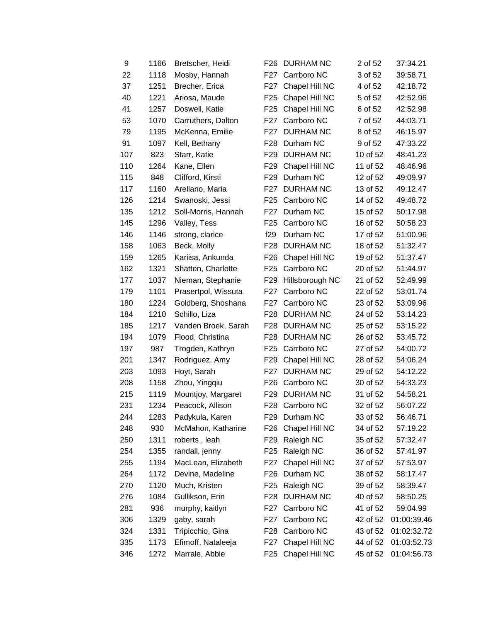| 9   | 1166 | Bretscher, Heidi    | F26             | DURHAM NC        | 2 of 52  | 37:34.21    |
|-----|------|---------------------|-----------------|------------------|----------|-------------|
| 22  | 1118 | Mosby, Hannah       | F27             | Carrboro NC      | 3 of 52  | 39:58.71    |
| 37  | 1251 | Brecher, Erica      | F <sub>27</sub> | Chapel Hill NC   | 4 of 52  | 42:18.72    |
| 40  | 1221 | Ariosa, Maude       | F <sub>25</sub> | Chapel Hill NC   | 5 of 52  | 42:52.96    |
| 41  | 1257 | Doswell, Katie      | F <sub>25</sub> | Chapel Hill NC   | 6 of 52  | 42:52.98    |
| 53  | 1070 | Carruthers, Dalton  | F27             | Carrboro NC      | 7 of 52  | 44:03.71    |
| 79  | 1195 | McKenna, Emilie     | F27             | <b>DURHAM NC</b> | 8 of 52  | 46:15.97    |
| 91  | 1097 | Kell, Bethany       | F28             | Durham NC        | 9 of 52  | 47:33.22    |
| 107 | 823  | Starr, Katie        | F <sub>29</sub> | <b>DURHAM NC</b> | 10 of 52 | 48:41.23    |
| 110 | 1264 | Kane, Ellen         | F <sub>29</sub> | Chapel Hill NC   | 11 of 52 | 48:46.96    |
| 115 | 848  | Clifford, Kirsti    | F <sub>29</sub> | Durham NC        | 12 of 52 | 49:09.97    |
| 117 | 1160 | Arellano, Maria     | F27             | <b>DURHAM NC</b> | 13 of 52 | 49:12.47    |
| 126 | 1214 | Swanoski, Jessi     | F <sub>25</sub> | Carrboro NC      | 14 of 52 | 49:48.72    |
| 135 | 1212 | Soll-Morris, Hannah | F <sub>27</sub> | Durham NC        | 15 of 52 | 50:17.98    |
| 145 | 1296 | Valley, Tess        | F <sub>25</sub> | Carrboro NC      | 16 of 52 | 50:58.23    |
| 146 | 1146 | strong, clarice     | f29             | Durham NC        | 17 of 52 | 51:00.96    |
| 158 | 1063 | Beck, Molly         | F <sub>28</sub> | <b>DURHAM NC</b> | 18 of 52 | 51:32.47    |
| 159 | 1265 | Kariisa, Ankunda    | F <sub>26</sub> | Chapel Hill NC   | 19 of 52 | 51:37.47    |
| 162 | 1321 | Shatten, Charlotte  | F <sub>25</sub> | Carrboro NC      | 20 of 52 | 51:44.97    |
| 177 | 1037 | Nieman, Stephanie   | F <sub>29</sub> | Hillsborough NC  | 21 of 52 | 52:49.99    |
| 179 | 1101 | Prasertpol, Wissuta | F27             | Carrboro NC      | 22 of 52 | 53:01.74    |
| 180 | 1224 | Goldberg, Shoshana  | F <sub>27</sub> | Carrboro NC      | 23 of 52 | 53:09.96    |
| 184 | 1210 | Schillo, Liza       | F <sub>28</sub> | <b>DURHAM NC</b> | 24 of 52 | 53:14.23    |
| 185 | 1217 | Vanden Broek, Sarah | F28             | <b>DURHAM NC</b> | 25 of 52 | 53:15.22    |
| 194 | 1079 | Flood, Christina    | F <sub>28</sub> | <b>DURHAM NC</b> | 26 of 52 | 53:45.72    |
| 197 | 987  | Trogden, Kathryn    | F <sub>25</sub> | Carrboro NC      | 27 of 52 | 54:00.72    |
| 201 | 1347 | Rodriguez, Amy      | F <sub>29</sub> | Chapel Hill NC   | 28 of 52 | 54:06.24    |
| 203 | 1093 | Hoyt, Sarah         | F27             | <b>DURHAM NC</b> | 29 of 52 | 54:12.22    |
| 208 | 1158 | Zhou, Yingqiu       | F26             | Carrboro NC      | 30 of 52 | 54:33.23    |
| 215 | 1119 | Mountjoy, Margaret  | F <sub>29</sub> | <b>DURHAM NC</b> | 31 of 52 | 54:58.21    |
| 231 | 1234 | Peacock, Allison    |                 | F28 Carrboro NC  | 32 of 52 | 56:07.22    |
| 244 | 1283 | Padykula, Karen     | F <sub>29</sub> | Durham NC        | 33 of 52 | 56:46.71    |
| 248 | 930  | McMahon, Katharine  | F <sub>26</sub> | Chapel Hill NC   | 34 of 52 | 57:19.22    |
| 250 | 1311 | roberts, leah       | F <sub>29</sub> | Raleigh NC       | 35 of 52 | 57:32.47    |
| 254 | 1355 | randall, jenny      | F <sub>25</sub> | Raleigh NC       | 36 of 52 | 57:41.97    |
| 255 | 1194 | MacLean, Elizabeth  | F27             | Chapel Hill NC   | 37 of 52 | 57:53.97    |
| 264 | 1172 | Devine, Madeline    | F <sub>26</sub> | Durham NC        | 38 of 52 | 58:17.47    |
| 270 | 1120 | Much, Kristen       | F <sub>25</sub> | Raleigh NC       | 39 of 52 | 58:39.47    |
| 276 | 1084 | Gullikson, Erin     | F <sub>28</sub> | <b>DURHAM NC</b> | 40 of 52 | 58:50.25    |
| 281 | 936  | murphy, kaitlyn     | F <sub>27</sub> | Carrboro NC      | 41 of 52 | 59:04.99    |
| 306 | 1329 | gaby, sarah         | F27             | Carrboro NC      | 42 of 52 | 01:00:39.46 |
| 324 | 1331 | Tripicchio, Gina    | F28             | Carrboro NC      | 43 of 52 | 01:02:32.72 |
| 335 | 1173 | Efimoff, Nataleeja  | F27             | Chapel Hill NC   | 44 of 52 | 01:03:52.73 |
| 346 | 1272 | Marrale, Abbie      | F <sub>25</sub> | Chapel Hill NC   | 45 of 52 | 01:04:56.73 |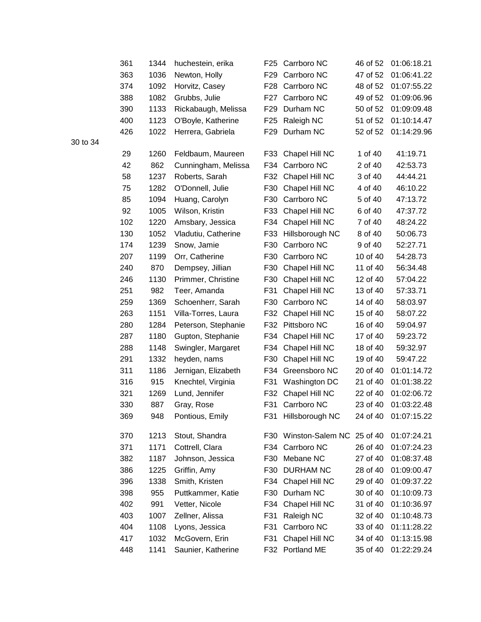| 361 | 1344 | huchestein, erika   | F <sub>25</sub> | Carrboro NC      | 46 of 52 | 01:06:18.21 |
|-----|------|---------------------|-----------------|------------------|----------|-------------|
| 363 | 1036 | Newton, Holly       | F <sub>29</sub> | Carrboro NC      | 47 of 52 | 01:06:41.22 |
| 374 | 1092 | Horvitz, Casey      | F28             | Carrboro NC      | 48 of 52 | 01:07:55.22 |
| 388 | 1082 | Grubbs, Julie       | F27             | Carrboro NC      | 49 of 52 | 01:09:06.96 |
| 390 | 1133 | Rickabaugh, Melissa | F29             | Durham NC        | 50 of 52 | 01:09:09.48 |
| 400 | 1123 | O'Boyle, Katherine  | F <sub>25</sub> | Raleigh NC       | 51 of 52 | 01:10:14.47 |
| 426 | 1022 | Herrera, Gabriela   | F <sub>29</sub> | Durham NC        | 52 of 52 | 01:14:29.96 |
|     |      |                     |                 |                  |          |             |
| 29  | 1260 | Feldbaum, Maureen   | F33             | Chapel Hill NC   | 1 of 40  | 41:19.71    |
| 42  | 862  | Cunningham, Melissa | F34             | Carrboro NC      | 2 of 40  | 42:53.73    |
| 58  | 1237 | Roberts, Sarah      | F32             | Chapel Hill NC   | 3 of 40  | 44:44.21    |
| 75  | 1282 | O'Donnell, Julie    | F30             | Chapel Hill NC   | 4 of 40  | 46:10.22    |
| 85  | 1094 | Huang, Carolyn      | F30             | Carrboro NC      | 5 of 40  | 47:13.72    |
| 92  | 1005 | Wilson, Kristin     | F33             | Chapel Hill NC   | 6 of 40  | 47:37.72    |
| 102 | 1220 | Amsbary, Jessica    | F34             | Chapel Hill NC   | 7 of 40  | 48:24.22    |
| 130 | 1052 | Vladutiu, Catherine | F33             | Hillsborough NC  | 8 of 40  | 50:06.73    |
| 174 | 1239 | Snow, Jamie         | F30             | Carrboro NC      | 9 of 40  | 52:27.71    |
| 207 | 1199 | Orr, Catherine      | F30             | Carrboro NC      | 10 of 40 | 54:28.73    |
| 240 | 870  | Dempsey, Jillian    | F30             | Chapel Hill NC   | 11 of 40 | 56:34.48    |
| 246 | 1130 | Primmer, Christine  | F30             | Chapel Hill NC   | 12 of 40 | 57:04.22    |
| 251 | 982  | Teer, Amanda        | F31             | Chapel Hill NC   | 13 of 40 | 57:33.71    |
| 259 | 1369 | Schoenherr, Sarah   | F30             | Carrboro NC      | 14 of 40 | 58:03.97    |
| 263 | 1151 | Villa-Torres, Laura | F32             | Chapel Hill NC   | 15 of 40 | 58:07.22    |
| 280 | 1284 | Peterson, Stephanie | F32             | Pittsboro NC     | 16 of 40 | 59:04.97    |
| 287 | 1180 | Gupton, Stephanie   | F34             | Chapel Hill NC   | 17 of 40 | 59:23.72    |
| 288 | 1148 | Swingler, Margaret  | F34             | Chapel Hill NC   | 18 of 40 | 59:32.97    |
| 291 | 1332 | heyden, nams        | F30             | Chapel Hill NC   | 19 of 40 | 59:47.22    |
| 311 | 1186 | Jernigan, Elizabeth | F34             | Greensboro NC    | 20 of 40 | 01:01:14.72 |
| 316 | 915  | Knechtel, Virginia  | F31             | Washington DC    | 21 of 40 | 01:01:38.22 |
| 321 | 1269 | Lund, Jennifer      | F32             | Chapel Hill NC   | 22 of 40 | 01:02:06.72 |
| 330 | 887  | Gray, Rose          | F31             | Carrboro NC      | 23 of 40 | 01:03:22.48 |
| 369 | 948  | Pontious, Emily     | F31             | Hillsborough NC  | 24 of 40 | 01:07:15.22 |
| 370 | 1213 | Stout, Shandra      | F30             | Winston-Salem NC | 25 of 40 | 01:07:24.21 |
| 371 | 1171 | Cottrell, Clara     | F34             | Carrboro NC      | 26 of 40 | 01:07:24.23 |
| 382 | 1187 | Johnson, Jessica    | F30             | Mebane NC        | 27 of 40 | 01:08:37.48 |
| 386 | 1225 | Griffin, Amy        | F30             | <b>DURHAM NC</b> | 28 of 40 | 01:09:00.47 |
| 396 | 1338 | Smith, Kristen      | F34             | Chapel Hill NC   | 29 of 40 | 01:09:37.22 |
| 398 | 955  | Puttkammer, Katie   | F30             | Durham NC        | 30 of 40 | 01:10:09.73 |
| 402 | 991  | Vetter, Nicole      | F34             | Chapel Hill NC   | 31 of 40 | 01:10:36.97 |
| 403 | 1007 | Zellner, Alissa     | F31             | Raleigh NC       | 32 of 40 | 01:10:48.73 |
| 404 | 1108 | Lyons, Jessica      | F31             | Carrboro NC      | 33 of 40 | 01:11:28.22 |
| 417 | 1032 | McGovern, Erin      | F31             | Chapel Hill NC   | 34 of 40 | 01:13:15.98 |
| 448 | 1141 | Saunier, Katherine  | F32             | Portland ME      | 35 of 40 | 01:22:29.24 |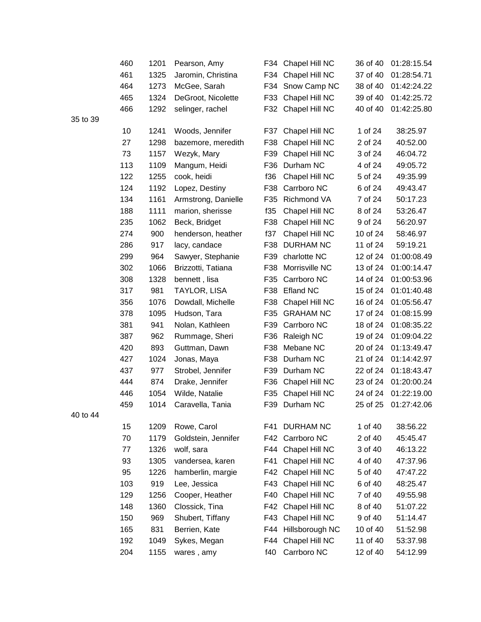|       | 460 | 1201 | Pearson, Amy        | F34 | Chapel Hill NC     | 36 of 40 | 01:28:15.54 |
|-------|-----|------|---------------------|-----|--------------------|----------|-------------|
|       | 461 | 1325 | Jaromin, Christina  | F34 | Chapel Hill NC     | 37 of 40 | 01:28:54.71 |
|       | 464 | 1273 | McGee, Sarah        | F34 | Snow Camp NC       | 38 of 40 | 01:42:24.22 |
|       | 465 | 1324 | DeGroot, Nicolette  | F33 | Chapel Hill NC     | 39 of 40 | 01:42:25.72 |
|       | 466 | 1292 | selinger, rachel    |     | F32 Chapel Hill NC | 40 of 40 | 01:42:25.80 |
| to 39 |     |      |                     |     |                    |          |             |
|       | 10  | 1241 | Woods, Jennifer     | F37 | Chapel Hill NC     | 1 of 24  | 38:25.97    |
|       | 27  | 1298 | bazemore, meredith  | F38 | Chapel Hill NC     | 2 of 24  | 40:52.00    |
|       | 73  | 1157 | Wezyk, Mary         | F39 | Chapel Hill NC     | 3 of 24  | 46:04.72    |
|       | 113 | 1109 | Mangum, Heidi       | F36 | Durham NC          | 4 of 24  | 49:05.72    |
|       | 122 | 1255 | cook, heidi         | f36 | Chapel Hill NC     | 5 of 24  | 49:35.99    |
|       | 124 | 1192 | Lopez, Destiny      | F38 | Carrboro NC        | 6 of 24  | 49:43.47    |
|       | 134 | 1161 | Armstrong, Danielle | F35 | Richmond VA        | 7 of 24  | 50:17.23    |
|       | 188 | 1111 | marion, sherisse    | f35 | Chapel Hill NC     | 8 of 24  | 53:26.47    |
|       | 235 | 1062 | Beck, Bridget       | F38 | Chapel Hill NC     | 9 of 24  | 56:20.97    |
|       | 274 | 900  | henderson, heather  | f37 | Chapel Hill NC     | 10 of 24 | 58:46.97    |
|       | 286 | 917  | lacy, candace       | F38 | <b>DURHAM NC</b>   | 11 of 24 | 59:19.21    |
|       | 299 | 964  | Sawyer, Stephanie   | F39 | charlotte NC       | 12 of 24 | 01:00:08.49 |
|       | 302 | 1066 | Brizzotti, Tatiana  | F38 | Morrisville NC     | 13 of 24 | 01:00:14.47 |
|       | 308 | 1328 | bennett, lisa       | F35 | Carrboro NC        | 14 of 24 | 01:00:53.96 |
|       | 317 | 981  | TAYLOR, LISA        | F38 | Efland NC          | 15 of 24 | 01:01:40.48 |
|       | 356 | 1076 | Dowdall, Michelle   | F38 | Chapel Hill NC     | 16 of 24 | 01:05:56.47 |
|       | 378 | 1095 | Hudson, Tara        | F35 | <b>GRAHAM NC</b>   | 17 of 24 | 01:08:15.99 |
|       | 381 | 941  | Nolan, Kathleen     | F39 | Carrboro NC        | 18 of 24 | 01:08:35.22 |
|       | 387 | 962  | Rummage, Sheri      | F36 | Raleigh NC         | 19 of 24 | 01:09:04.22 |
|       | 420 | 893  | Guttman, Dawn       | F38 | Mebane NC          | 20 of 24 | 01:13:49.47 |
|       | 427 | 1024 | Jonas, Maya         | F38 | Durham NC          | 21 of 24 | 01:14:42.97 |
|       | 437 | 977  | Strobel, Jennifer   | F39 | Durham NC          | 22 of 24 | 01:18:43.47 |
|       | 444 | 874  | Drake, Jennifer     | F36 | Chapel Hill NC     | 23 of 24 | 01:20:00.24 |
|       | 446 | 1054 | Wilde, Natalie      | F35 | Chapel Hill NC     | 24 of 24 | 01:22:19.00 |
|       | 459 | 1014 | Caravella, Tania    | F39 | Durham NC          | 25 of 25 | 01:27:42.06 |
| to 44 |     |      |                     |     |                    |          |             |
|       | 15  | 1209 | Rowe, Carol         | F41 | DURHAM NC          | 1 of 40  | 38:56.22    |
|       | 70  | 1179 | Goldstein, Jennifer | F42 | Carrboro NC        | 2 of 40  | 45:45.47    |
|       | 77  | 1326 | wolf, sara          | F44 | Chapel Hill NC     | 3 of 40  | 46:13.22    |
|       | 93  | 1305 | vandersea, karen    | F41 | Chapel Hill NC     | 4 of 40  | 47:37.96    |
|       | 95  | 1226 | hamberlin, margie   | F42 | Chapel Hill NC     | 5 of 40  | 47:47.22    |
|       | 103 | 919  | Lee, Jessica        | F43 | Chapel Hill NC     | 6 of 40  | 48:25.47    |
|       | 129 | 1256 | Cooper, Heather     | F40 | Chapel Hill NC     | 7 of 40  | 49:55.98    |
|       | 148 | 1360 | Clossick, Tina      | F42 | Chapel Hill NC     | 8 of 40  | 51:07.22    |
|       | 150 | 969  | Shubert, Tiffany    | F43 | Chapel Hill NC     | 9 of 40  | 51:14.47    |
|       | 165 | 831  | Berrien, Kate       | F44 | Hillsborough NC    | 10 of 40 | 51:52.98    |
|       | 192 | 1049 | Sykes, Megan        | F44 | Chapel Hill NC     | 11 of 40 | 53:37.98    |
|       | 204 | 1155 | wares, amy          | f40 | Carrboro NC        | 12 of 40 | 54:12.99    |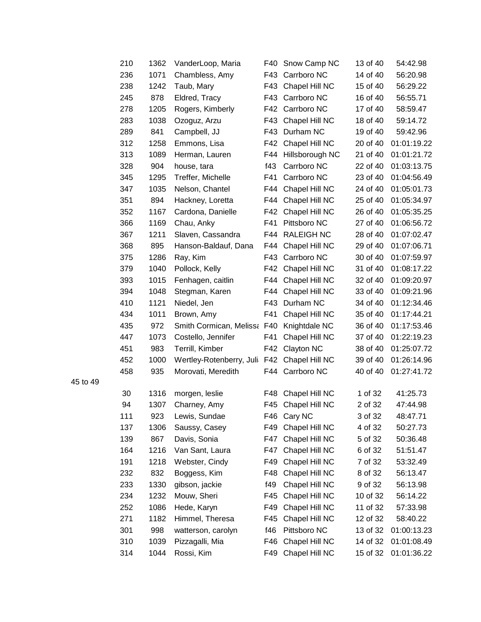| 210 | 1362 | VanderLoop, Maria                           | F40 | Snow Camp NC       | 13 of 40 | 54:42.98    |
|-----|------|---------------------------------------------|-----|--------------------|----------|-------------|
| 236 | 1071 | Chambless, Amy                              | F43 | Carrboro NC        | 14 of 40 | 56:20.98    |
| 238 | 1242 | Taub, Mary                                  | F43 | Chapel Hill NC     | 15 of 40 | 56:29.22    |
| 245 | 878  | Eldred, Tracy                               | F43 | Carrboro NC        | 16 of 40 | 56:55.71    |
| 278 | 1205 | Rogers, Kimberly                            | F42 | Carrboro NC        | 17 of 40 | 58:59.47    |
| 283 | 1038 | Ozoguz, Arzu                                | F43 | Chapel Hill NC     | 18 of 40 | 59:14.72    |
| 289 | 841  | Campbell, JJ                                | F43 | Durham NC          | 19 of 40 | 59:42.96    |
| 312 | 1258 | Emmons, Lisa                                | F42 | Chapel Hill NC     | 20 of 40 | 01:01:19.22 |
| 313 | 1089 | Herman, Lauren                              | F44 | Hillsborough NC    | 21 of 40 | 01:01:21.72 |
| 328 | 904  | house, tara                                 | f43 | Carrboro NC        | 22 of 40 | 01:03:13.75 |
| 345 | 1295 | Treffer, Michelle                           | F41 | Carrboro NC        | 23 of 40 | 01:04:56.49 |
| 347 | 1035 | Nelson, Chantel                             | F44 | Chapel Hill NC     | 24 of 40 | 01:05:01.73 |
| 351 | 894  | Hackney, Loretta                            |     | F44 Chapel Hill NC | 25 of 40 | 01:05:34.97 |
| 352 | 1167 | Cardona, Danielle                           | F42 | Chapel Hill NC     | 26 of 40 | 01:05:35.25 |
| 366 | 1169 | Chau, Anky                                  | F41 | Pittsboro NC       | 27 of 40 | 01:06:56.72 |
| 367 | 1211 | Slaven, Cassandra                           | F44 | <b>RALEIGH NC</b>  | 28 of 40 | 01:07:02.47 |
| 368 | 895  | Hanson-Baldauf, Dana                        | F44 | Chapel Hill NC     | 29 of 40 | 01:07:06.71 |
| 375 | 1286 | Ray, Kim                                    | F43 | Carrboro NC        | 30 of 40 | 01:07:59.97 |
| 379 | 1040 | Pollock, Kelly                              | F42 | Chapel Hill NC     | 31 of 40 | 01:08:17.22 |
| 393 | 1015 | Fenhagen, caitlin                           |     | F44 Chapel Hill NC | 32 of 40 | 01:09:20.97 |
| 394 | 1048 | Stegman, Karen                              | F44 | Chapel Hill NC     | 33 of 40 | 01:09:21.96 |
| 410 | 1121 | Niedel, Jen                                 | F43 | Durham NC          | 34 of 40 | 01:12:34.46 |
| 434 | 1011 | Brown, Amy                                  | F41 | Chapel Hill NC     | 35 of 40 | 01:17:44.21 |
| 435 | 972  | Smith Cormican, Melissa F40                 |     | Knightdale NC      | 36 of 40 | 01:17:53.46 |
| 447 | 1073 | Costello, Jennifer                          | F41 | Chapel Hill NC     | 37 of 40 | 01:22:19.23 |
| 451 | 983  | Terrill, Kimber                             | F42 | Clayton NC         | 38 of 40 | 01:25:07.72 |
| 452 | 1000 | Wertley-Rotenberry, Juli F42 Chapel Hill NC |     |                    | 39 of 40 | 01:26:14.96 |
| 458 | 935  | Morovati, Meredith                          |     | F44 Carrboro NC    | 40 of 40 | 01:27:41.72 |
| 30  | 1316 | morgen, leslie                              | F48 | Chapel Hill NC     | 1 of 32  | 41:25.73    |
| 94  | 1307 | Charney, Amy                                | F45 | Chapel Hill NC     | 2 of 32  | 47:44.98    |
| 111 | 923  | Lewis, Sundae                               |     | F46 Cary NC        | 3 of 32  | 48:47.71    |
| 137 | 1306 | Saussy, Casey                               | F49 | Chapel Hill NC     | 4 of 32  | 50:27.73    |
| 139 | 867  | Davis, Sonia                                | F47 | Chapel Hill NC     | 5 of 32  | 50:36.48    |
| 164 | 1216 | Van Sant, Laura                             | F47 | Chapel Hill NC     | 6 of 32  | 51:51.47    |
| 191 | 1218 | Webster, Cindy                              | F49 | Chapel Hill NC     | 7 of 32  | 53:32.49    |
| 232 | 832  | Boggess, Kim                                | F48 | Chapel Hill NC     | 8 of 32  | 56:13.47    |
| 233 | 1330 | gibson, jackie                              | f49 | Chapel Hill NC     | 9 of 32  | 56:13.98    |
| 234 | 1232 | Mouw, Sheri                                 |     | F45 Chapel Hill NC | 10 of 32 | 56:14.22    |
| 252 | 1086 | Hede, Karyn                                 | F49 | Chapel Hill NC     | 11 of 32 | 57:33.98    |
| 271 | 1182 | Himmel, Theresa                             | F45 | Chapel Hill NC     | 12 of 32 | 58:40.22    |
| 301 | 998  | watterson, carolyn                          | f46 | Pittsboro NC       | 13 of 32 | 01:00:13.23 |
| 310 | 1039 | Pizzagalli, Mia                             | F46 | Chapel Hill NC     | 14 of 32 | 01:01:08.49 |
| 314 | 1044 | Rossi, Kim                                  | F49 | Chapel Hill NC     | 15 of 32 | 01:01:36.22 |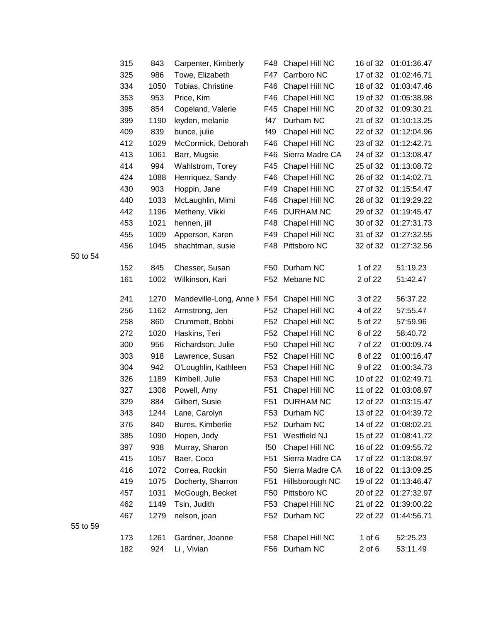| 315 | 843  | Carpenter, Kimberly                        |                 | F48 Chapel Hill NC | 16 of 32 | 01:01:36.47 |
|-----|------|--------------------------------------------|-----------------|--------------------|----------|-------------|
| 325 | 986  | Towe, Elizabeth                            | F47             | Carrboro NC        | 17 of 32 | 01:02:46.71 |
| 334 | 1050 | Tobias, Christine                          | F46             | Chapel Hill NC     | 18 of 32 | 01:03:47.46 |
| 353 | 953  | Price, Kim                                 | F46             | Chapel Hill NC     | 19 of 32 | 01:05:38.98 |
| 395 | 854  | Copeland, Valerie                          | F45             | Chapel Hill NC     | 20 of 32 | 01:09:30.21 |
| 399 | 1190 | leyden, melanie                            | f47             | Durham NC          | 21 of 32 | 01:10:13.25 |
| 409 | 839  | bunce, julie                               | f49             | Chapel Hill NC     | 22 of 32 | 01:12:04.96 |
| 412 | 1029 | McCormick, Deborah                         | F46             | Chapel Hill NC     | 23 of 32 | 01:12:42.71 |
| 413 | 1061 | Barr, Mugsie                               | F46             | Sierra Madre CA    | 24 of 32 | 01:13:08.47 |
| 414 | 994  | Wahlstrom, Torey                           |                 | F45 Chapel Hill NC | 25 of 32 | 01:13:08.72 |
| 424 | 1088 | Henriquez, Sandy                           | F46             | Chapel Hill NC     | 26 of 32 | 01:14:02.71 |
| 430 | 903  | Hoppin, Jane                               | F49             | Chapel Hill NC     | 27 of 32 | 01:15:54.47 |
| 440 | 1033 | McLaughlin, Mimi                           |                 | F46 Chapel Hill NC | 28 of 32 | 01:19:29.22 |
| 442 | 1196 | Metheny, Vikki                             | F46             | <b>DURHAM NC</b>   | 29 of 32 | 01:19:45.47 |
| 453 | 1021 | hennen, jill                               |                 | F48 Chapel Hill NC | 30 of 32 | 01:27:31.73 |
| 455 | 1009 | Apperson, Karen                            | F49             | Chapel Hill NC     | 31 of 32 | 01:27:32.55 |
| 456 | 1045 | shachtman, susie                           |                 | F48 Pittsboro NC   | 32 of 32 | 01:27:32.56 |
|     |      |                                            |                 |                    |          |             |
| 152 | 845  | Chesser, Susan                             | F50             | Durham NC          | 1 of 22  | 51:19.23    |
| 161 | 1002 | Wilkinson, Kari                            |                 | F52 Mebane NC      | 2 of 22  | 51:42.47    |
| 241 | 1270 | Mandeville-Long, Anne M F54 Chapel Hill NC |                 |                    | 3 of 22  | 56:37.22    |
| 256 | 1162 | Armstrong, Jen                             | F52             | Chapel Hill NC     | 4 of 22  | 57:55.47    |
| 258 | 860  | Crummett, Bobbi                            |                 | F52 Chapel Hill NC | 5 of 22  | 57:59.96    |
| 272 | 1020 | Haskins, Teri                              | F <sub>52</sub> | Chapel Hill NC     | 6 of 22  | 58:40.72    |
| 300 | 956  | Richardson, Julie                          |                 | F50 Chapel Hill NC | 7 of 22  | 01:00:09.74 |
| 303 | 918  | Lawrence, Susan                            | F52             | Chapel Hill NC     | 8 of 22  | 01:00:16.47 |
| 304 | 942  | O'Loughlin, Kathleen                       | F53             | Chapel Hill NC     | 9 of 22  | 01:00:34.73 |
| 326 | 1189 | Kimbell, Julie                             |                 | F53 Chapel Hill NC | 10 of 22 | 01:02:49.71 |
| 327 | 1308 | Powell, Amy                                | F <sub>51</sub> | Chapel Hill NC     | 11 of 22 | 01:03:08.97 |
| 329 | 884  | Gilbert, Susie                             |                 | F51 DURHAM NC      | 12 of 22 | 01:03:15.47 |
| 343 | 1244 | Lane, Carolyn                              |                 | F53 Durham NC      | 13 of 22 | 01:04:39.72 |
| 376 | 840  | Burns, Kimberlie                           | F52             | Durham NC          | 14 of 22 | 01:08:02.21 |
| 385 | 1090 | Hopen, Jody                                | F51             | Westfield NJ       | 15 of 22 | 01:08:41.72 |
| 397 | 938  | Murray, Sharon                             | f50             | Chapel Hill NC     | 16 of 22 | 01:09:55.72 |
| 415 | 1057 | Baer, Coco                                 | F51             | Sierra Madre CA    | 17 of 22 | 01:13:08.97 |
| 416 | 1072 | Correa, Rockin                             | F50             | Sierra Madre CA    | 18 of 22 | 01:13:09.25 |
| 419 | 1075 | Docherty, Sharron                          | F <sub>51</sub> | Hillsborough NC    | 19 of 22 | 01:13:46.47 |
| 457 | 1031 | McGough, Becket                            | F50             | Pittsboro NC       | 20 of 22 | 01:27:32.97 |
| 462 | 1149 | Tsin, Judith                               | F53             | Chapel Hill NC     | 21 of 22 | 01:39:00.22 |
| 467 | 1279 | nelson, joan                               |                 | F52 Durham NC      | 22 of 22 | 01:44:56.71 |
|     |      |                                            |                 |                    |          |             |
| 173 | 1261 | Gardner, Joanne                            |                 | F58 Chapel Hill NC | 1 of $6$ | 52:25.23    |
| 182 | 924  | Li, Vivian                                 |                 | F56 Durham NC      | 2 of 6   | 53:11.49    |
|     |      |                                            |                 |                    |          |             |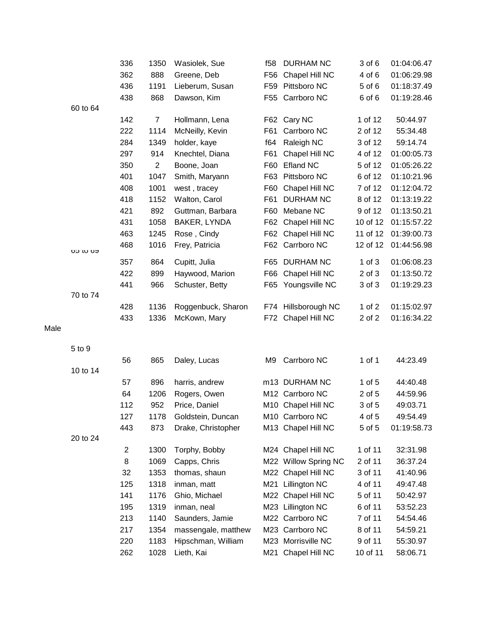|      |          | 336            | 1350           | Wasiolek, Sue       | f58 | <b>DURHAM NC</b>     | 3 of 6     | 01:04:06.47 |
|------|----------|----------------|----------------|---------------------|-----|----------------------|------------|-------------|
|      |          | 362            | 888            | Greene, Deb         | F56 | Chapel Hill NC       | 4 of 6     | 01:06:29.98 |
|      |          | 436            | 1191           | Lieberum, Susan     |     | F59 Pittsboro NC     | 5 of 6     | 01:18:37.49 |
|      |          | 438            | 868            | Dawson, Kim         |     | F55 Carrboro NC      | 6 of 6     | 01:19:28.46 |
|      | 60 to 64 |                |                |                     |     |                      |            |             |
|      |          | 142            | $\overline{7}$ | Hollmann, Lena      |     | F62 Cary NC          | 1 of 12    | 50:44.97    |
|      |          | 222            | 1114           | McNeilly, Kevin     | F61 | Carrboro NC          | 2 of 12    | 55:34.48    |
|      |          | 284            | 1349           | holder, kaye        | f64 | Raleigh NC           | 3 of 12    | 59:14.74    |
|      |          | 297            | 914            | Knechtel, Diana     | F61 | Chapel Hill NC       | 4 of 12    | 01:00:05.73 |
|      |          | 350            | $\overline{2}$ | Boone, Joan         | F60 | Efland NC            | 5 of 12    | 01:05:26.22 |
|      |          | 401            | 1047           | Smith, Maryann      |     | F63 Pittsboro NC     | 6 of 12    | 01:10:21.96 |
|      |          | 408            | 1001           | west, tracey        | F60 | Chapel Hill NC       | 7 of 12    | 01:12:04.72 |
|      |          | 418            | 1152           | Walton, Carol       | F61 | <b>DURHAM NC</b>     | 8 of 12    | 01:13:19.22 |
|      |          | 421            | 892            | Guttman, Barbara    | F60 | Mebane NC            | 9 of 12    | 01:13:50.21 |
|      |          | 431            | 1058           | BAKER, LYNDA        | F62 | Chapel Hill NC       | 10 of 12   | 01:15:57.22 |
|      |          | 463            | 1245           | Rose, Cindy         |     | F62 Chapel Hill NC   | 11 of 12   | 01:39:00.73 |
|      |          | 468            | 1016           | Frey, Patricia      |     | F62 Carrboro NC      | 12 of 12   | 01:44:56.98 |
|      | 00 IN 02 | 357            | 864            | Cupitt, Julia       |     | F65 DURHAM NC        | $1$ of $3$ | 01:06:08.23 |
|      |          | 422            | 899            | Haywood, Marion     |     | F66 Chapel Hill NC   | $2$ of $3$ | 01:13:50.72 |
|      |          | 441            | 966            | Schuster, Betty     |     | F65 Youngsville NC   | 3 of 3     | 01:19:29.23 |
|      | 70 to 74 |                |                |                     |     |                      |            |             |
|      |          | 428            | 1136           | Roggenbuck, Sharon  |     | F74 Hillsborough NC  | 1 of $2$   | 01:15:02.97 |
|      |          | 433            | 1336           | McKown, Mary        |     | F72 Chapel Hill NC   | 2 of 2     | 01:16:34.22 |
| Male |          |                |                |                     |     |                      |            |             |
|      |          |                |                |                     |     |                      |            |             |
|      | 5 to 9   |                |                |                     |     |                      |            |             |
|      |          | 56             | 865            | Daley, Lucas        | M9  | Carrboro NC          | 1 of 1     | 44:23.49    |
|      | 10 to 14 |                |                |                     |     |                      |            |             |
|      |          | 57             | 896            | harris, andrew      |     | m13 DURHAM NC        | $1$ of $5$ | 44:40.48    |
|      |          | 64             | 1206           | Rogers, Owen        |     | M12 Carrboro NC      | 2 of 5     | 44:59.96    |
|      |          | 112            | 952            | Price, Daniel       |     | M10 Chapel Hill NC   | 3 of 5     | 49:03.71    |
|      |          | 127            | 1178           | Goldstein, Duncan   |     | M10 Carrboro NC      | 4 of 5     | 49:54.49    |
|      |          | 443            | 873            | Drake, Christopher  |     | M13 Chapel Hill NC   | 5 of 5     | 01:19:58.73 |
|      | 20 to 24 |                |                |                     |     |                      |            |             |
|      |          | $\overline{c}$ | 1300           | Torphy, Bobby       |     | M24 Chapel Hill NC   | 1 of 11    | 32:31.98    |
|      |          | 8              | 1069           | Capps, Chris        |     | M22 Willow Spring NC | 2 of 11    | 36:37.24    |
|      |          | 32             | 1353           | thomas, shaun       |     | M22 Chapel Hill NC   | 3 of 11    | 41:40.96    |
|      |          | 125            | 1318           | inman, matt         | M21 | <b>Lillington NC</b> | 4 of 11    | 49:47.48    |
|      |          | 141            | 1176           | Ghio, Michael       |     | M22 Chapel Hill NC   | 5 of 11    | 50:42.97    |
|      |          | 195            | 1319           | inman, neal         |     | M23 Lillington NC    | 6 of 11    | 53:52.23    |
|      |          | 213            | 1140           | Saunders, Jamie     |     | M22 Carrboro NC      | 7 of 11    | 54:54.46    |
|      |          | 217            | 1354           | massengale, matthew |     | M23 Carrboro NC      | 8 of 11    | 54:59.21    |
|      |          | 220            | 1183           | Hipschman, William  |     | M23 Morrisville NC   | 9 of 11    | 55:30.97    |
|      |          | 262            | 1028           | Lieth, Kai          |     | M21 Chapel Hill NC   | 10 of 11   | 58:06.71    |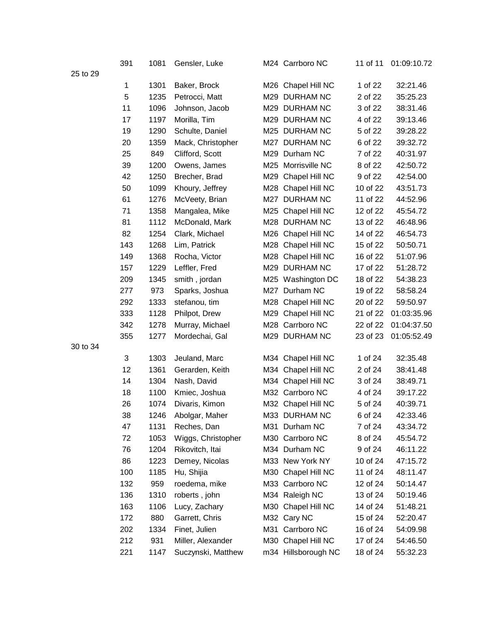|          | 391 | 1081 | Gensler, Luke      |     | M24 Carrboro NC     | 11 of 11 | 01:09:10.72 |
|----------|-----|------|--------------------|-----|---------------------|----------|-------------|
| 25 to 29 |     |      |                    |     |                     |          |             |
|          | 1   | 1301 | Baker, Brock       |     | M26 Chapel Hill NC  | 1 of 22  | 32:21.46    |
|          | 5   | 1235 | Petrocci, Matt     |     | M29 DURHAM NC       | 2 of 22  | 35:25.23    |
|          | 11  | 1096 | Johnson, Jacob     | M29 | <b>DURHAM NC</b>    | 3 of 22  | 38:31.46    |
|          | 17  | 1197 | Morilla, Tim       |     | M29 DURHAM NC       | 4 of 22  | 39:13.46    |
|          | 19  | 1290 | Schulte, Daniel    |     | M25 DURHAM NC       | 5 of 22  | 39:28.22    |
|          | 20  | 1359 | Mack, Christopher  |     | M27 DURHAM NC       | 6 of 22  | 39:32.72    |
|          | 25  | 849  | Clifford, Scott    |     | M29 Durham NC       | 7 of 22  | 40:31.97    |
|          | 39  | 1200 | Owens, James       | M25 | Morrisville NC      | 8 of 22  | 42:50.72    |
|          | 42  | 1250 | Brecher, Brad      |     | M29 Chapel Hill NC  | 9 of 22  | 42:54.00    |
|          | 50  | 1099 | Khoury, Jeffrey    |     | M28 Chapel Hill NC  | 10 of 22 | 43:51.73    |
|          | 61  | 1276 | McVeety, Brian     |     | M27 DURHAM NC       | 11 of 22 | 44:52.96    |
|          | 71  | 1358 | Mangalea, Mike     |     | M25 Chapel Hill NC  | 12 of 22 | 45:54.72    |
|          | 81  | 1112 | McDonald, Mark     |     | M28 DURHAM NC       | 13 of 22 | 46:48.96    |
|          | 82  | 1254 | Clark, Michael     |     | M26 Chapel Hill NC  | 14 of 22 | 46:54.73    |
|          | 143 | 1268 | Lim, Patrick       |     | M28 Chapel Hill NC  | 15 of 22 | 50:50.71    |
|          | 149 | 1368 | Rocha, Victor      |     | M28 Chapel Hill NC  | 16 of 22 | 51:07.96    |
|          | 157 | 1229 | Leffler, Fred      |     | M29 DURHAM NC       | 17 of 22 | 51:28.72    |
|          | 209 | 1345 | smith, jordan      |     | M25 Washington DC   | 18 of 22 | 54:38.23    |
|          | 277 | 973  | Sparks, Joshua     |     | M27 Durham NC       | 19 of 22 | 58:58.24    |
|          | 292 | 1333 | stefanou, tim      |     | M28 Chapel Hill NC  | 20 of 22 | 59:50.97    |
|          | 333 | 1128 | Philpot, Drew      |     | M29 Chapel Hill NC  | 21 of 22 | 01:03:35.96 |
|          | 342 | 1278 | Murray, Michael    |     | M28 Carrboro NC     | 22 of 22 | 01:04:37.50 |
|          | 355 | 1277 | Mordechai, Gal     |     | M29 DURHAM NC       | 23 of 23 | 01:05:52.49 |
| 30 to 34 |     |      |                    |     |                     |          |             |
|          | 3   | 1303 | Jeuland, Marc      |     | M34 Chapel Hill NC  | 1 of 24  | 32:35.48    |
|          | 12  | 1361 | Gerarden, Keith    |     | M34 Chapel Hill NC  | 2 of 24  | 38:41.48    |
|          | 14  | 1304 | Nash, David        |     | M34 Chapel Hill NC  | 3 of 24  | 38:49.71    |
|          | 18  | 1100 | Kmiec, Joshua      |     | M32 Carrboro NC     | 4 of 24  | 39:17.22    |
|          | 26  | 1074 | Divaris, Kimon     |     | M32 Chapel Hill NC  | 5 of 24  | 40:39.71    |
|          | 38  | 1246 | Abolgar, Maher     |     | M33 DURHAM NC       | 6 of 24  | 42:33.46    |
|          | 47  | 1131 | Reches, Dan        |     | M31 Durham NC       | 7 of 24  | 43:34.72    |
|          | 72  | 1053 | Wiggs, Christopher |     | M30 Carrboro NC     | 8 of 24  | 45:54.72    |
|          | 76  | 1204 | Rikovitch, Itai    |     | M34 Durham NC       | 9 of 24  | 46:11.22    |
|          | 86  | 1223 | Demey, Nicolas     |     | M33 New York NY     | 10 of 24 | 47:15.72    |
|          | 100 | 1185 | Hu, Shijia         |     | M30 Chapel Hill NC  | 11 of 24 | 48:11.47    |
|          | 132 | 959  | roedema, mike      |     | M33 Carrboro NC     | 12 of 24 | 50:14.47    |
|          | 136 | 1310 | roberts, john      |     | M34 Raleigh NC      | 13 of 24 | 50:19.46    |
|          | 163 | 1106 | Lucy, Zachary      |     | M30 Chapel Hill NC  | 14 of 24 | 51:48.21    |
|          | 172 | 880  | Garrett, Chris     |     | M32 Cary NC         | 15 of 24 | 52:20.47    |
|          | 202 | 1334 | Finet, Julien      |     | M31 Carrboro NC     | 16 of 24 | 54:09.98    |
|          | 212 | 931  | Miller, Alexander  |     | M30 Chapel Hill NC  | 17 of 24 | 54:46.50    |
|          | 221 | 1147 | Suczynski, Matthew |     | m34 Hillsborough NC | 18 of 24 | 55:32.23    |
|          |     |      |                    |     |                     |          |             |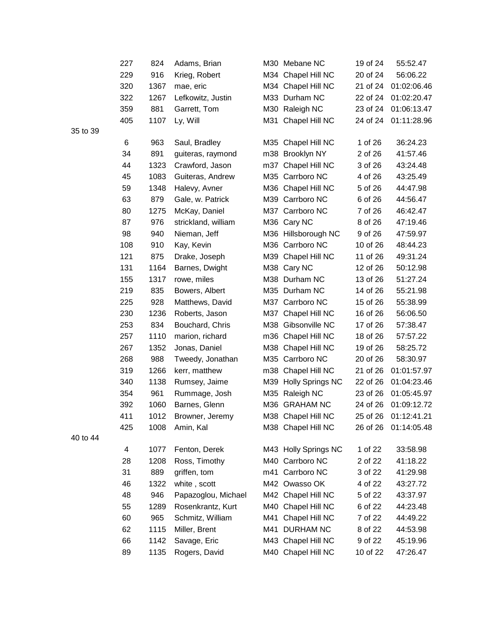|    | 227 | 824  | Adams, Brian        |     | M30 Mebane NC        | 19 of 24 | 55:52.47    |
|----|-----|------|---------------------|-----|----------------------|----------|-------------|
|    | 229 | 916  | Krieg, Robert       |     | M34 Chapel Hill NC   | 20 of 24 | 56:06.22    |
|    | 320 | 1367 | mae, eric           |     | M34 Chapel Hill NC   | 21 of 24 | 01:02:06.46 |
|    | 322 | 1267 | Lefkowitz, Justin   |     | M33 Durham NC        | 22 of 24 | 01:02:20.47 |
|    | 359 | 881  | Garrett, Tom        |     | M30 Raleigh NC       | 23 of 24 | 01:06:13.47 |
|    | 405 | 1107 | Ly, Will            |     | M31 Chapel Hill NC   | 24 of 24 | 01:11:28.96 |
| 39 |     |      |                     |     |                      |          |             |
|    | 6   | 963  | Saul, Bradley       |     | M35 Chapel Hill NC   | 1 of 26  | 36:24.23    |
|    | 34  | 891  | guiteras, raymond   |     | m38 Brooklyn NY      | 2 of 26  | 41:57.46    |
|    | 44  | 1323 | Crawford, Jason     |     | m37 Chapel Hill NC   | 3 of 26  | 43:24.48    |
|    | 45  | 1083 | Guiteras, Andrew    |     | M35 Carrboro NC      | 4 of 26  | 43:25.49    |
|    | 59  | 1348 | Halevy, Avner       |     | M36 Chapel Hill NC   | 5 of 26  | 44:47.98    |
|    | 63  | 879  | Gale, w. Patrick    |     | M39 Carrboro NC      | 6 of 26  | 44:56.47    |
|    | 80  | 1275 | McKay, Daniel       |     | M37 Carrboro NC      | 7 of 26  | 46:42.47    |
|    | 87  | 976  | strickland, william |     | M36 Cary NC          | 8 of 26  | 47:19.46    |
|    | 98  | 940  | Nieman, Jeff        |     | M36 Hillsborough NC  | 9 of 26  | 47:59.97    |
|    | 108 | 910  | Kay, Kevin          |     | M36 Carrboro NC      | 10 of 26 | 48:44.23    |
|    | 121 | 875  | Drake, Joseph       |     | M39 Chapel Hill NC   | 11 of 26 | 49:31.24    |
|    | 131 | 1164 | Barnes, Dwight      |     | M38 Cary NC          | 12 of 26 | 50:12.98    |
|    | 155 | 1317 | rowe, miles         |     | M38 Durham NC        | 13 of 26 | 51:27.24    |
|    | 219 | 835  | Bowers, Albert      |     | M35 Durham NC        | 14 of 26 | 55:21.98    |
|    | 225 | 928  | Matthews, David     |     | M37 Carrboro NC      | 15 of 26 | 55:38.99    |
|    | 230 | 1236 | Roberts, Jason      | M37 | Chapel Hill NC       | 16 of 26 | 56:06.50    |
|    | 253 | 834  | Bouchard, Chris     |     | M38 Gibsonville NC   | 17 of 26 | 57:38.47    |
|    | 257 | 1110 | marion, richard     |     | m36 Chapel Hill NC   | 18 of 26 | 57:57.22    |
|    | 267 | 1352 | Jonas, Daniel       |     | M38 Chapel Hill NC   | 19 of 26 | 58:25.72    |
|    | 268 | 988  | Tweedy, Jonathan    |     | M35 Carrboro NC      | 20 of 26 | 58:30.97    |
|    | 319 | 1266 | kerr, matthew       |     | m38 Chapel Hill NC   | 21 of 26 | 01:01:57.97 |
|    | 340 | 1138 | Rumsey, Jaime       |     | M39 Holly Springs NC | 22 of 26 | 01:04:23.46 |
|    | 354 | 961  | Rummage, Josh       | M35 | Raleigh NC           | 23 of 26 | 01:05:45.97 |
|    | 392 | 1060 | Barnes, Glenn       |     | M36 GRAHAM NC        | 24 of 26 | 01:09:12.72 |
|    | 411 | 1012 | Browner, Jeremy     |     | M38 Chapel Hill NC   | 25 of 26 | 01:12:41.21 |
|    | 425 | 1008 | Amin, Kal           |     | M38 Chapel Hill NC   | 26 of 26 | 01:14:05.48 |
| 44 |     |      |                     |     |                      |          |             |
|    | 4   | 1077 | Fenton, Derek       |     | M43 Holly Springs NC | 1 of 22  | 33:58.98    |
|    | 28  | 1208 | Ross, Timothy       |     | M40 Carrboro NC      | 2 of 22  | 41:18.22    |
|    | 31  | 889  | griffen, tom        |     | m41 Carrboro NC      | 3 of 22  | 41:29.98    |
|    | 46  | 1322 | white, scott        |     | M42 Owasso OK        | 4 of 22  | 43:27.72    |
|    | 48  | 946  | Papazoglou, Michael |     | M42 Chapel Hill NC   | 5 of 22  | 43:37.97    |
|    | 55  | 1289 | Rosenkrantz, Kurt   |     | M40 Chapel Hill NC   | 6 of 22  | 44:23.48    |
|    | 60  | 965  | Schmitz, William    | M41 | Chapel Hill NC       | 7 of 22  | 44:49.22    |
|    | 62  | 1115 | Miller, Brent       |     | M41 DURHAM NC        | 8 of 22  | 44:53.98    |
|    | 66  | 1142 | Savage, Eric        |     | M43 Chapel Hill NC   | 9 of 22  | 45:19.96    |
|    | 89  | 1135 | Rogers, David       |     | M40 Chapel Hill NC   | 10 of 22 | 47:26.47    |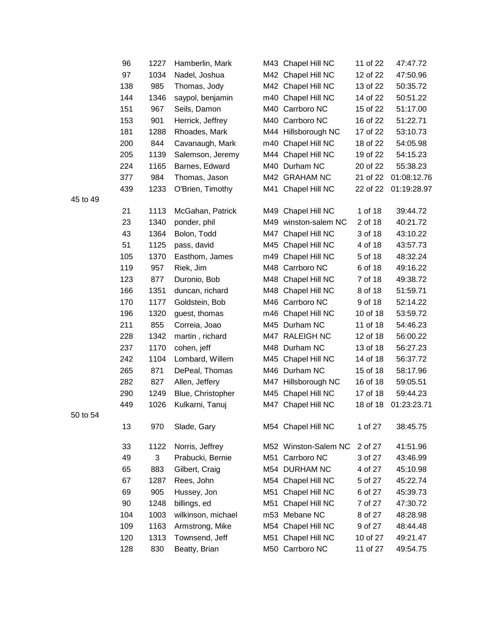|          | 96  | 1227 | Hamberlin, Mark    |     | M43 Chapel Hill NC   | 11 of 22 | 47:47.72    |
|----------|-----|------|--------------------|-----|----------------------|----------|-------------|
|          | 97  | 1034 | Nadel, Joshua      |     | M42 Chapel Hill NC   | 12 of 22 | 47:50.96    |
|          | 138 | 985  | Thomas, Jody       |     | M42 Chapel Hill NC   | 13 of 22 | 50:35.72    |
|          | 144 | 1346 | saypol, benjamin   |     | m40 Chapel Hill NC   | 14 of 22 | 50:51.22    |
|          | 151 | 967  | Seils, Damon       |     | M40 Carrboro NC      | 15 of 22 | 51:17.00    |
|          | 153 | 901  | Herrick, Jeffrey   |     | M40 Carrboro NC      | 16 of 22 | 51:22.71    |
|          | 181 | 1288 | Rhoades, Mark      |     | M44 Hillsborough NC  | 17 of 22 | 53:10.73    |
|          | 200 | 844  | Cavanaugh, Mark    |     | m40 Chapel Hill NC   | 18 of 22 | 54:05.98    |
|          | 205 | 1139 | Salemson, Jeremy   |     | M44 Chapel Hill NC   | 19 of 22 | 54:15.23    |
|          | 224 | 1165 | Barnes, Edward     |     | M40 Durham NC        | 20 of 22 | 55:38.23    |
|          | 377 | 984  | Thomas, Jason      |     | M42 GRAHAM NC        | 21 of 22 | 01:08:12.76 |
|          | 439 | 1233 | O'Brien, Timothy   |     | M41 Chapel Hill NC   | 22 of 22 | 01:19:28.97 |
| 45 to 49 |     |      |                    |     |                      |          |             |
|          | 21  | 1113 | McGahan, Patrick   |     | M49 Chapel Hill NC   | 1 of 18  | 39:44.72    |
|          | 23  | 1340 | ponder, phil       |     | M49 winston-salem NC | 2 of 18  | 40:21.72    |
|          | 43  | 1364 | Bolon, Todd        |     | M47 Chapel Hill NC   | 3 of 18  | 43:10.22    |
|          | 51  | 1125 | pass, david        |     | M45 Chapel Hill NC   | 4 of 18  | 43:57.73    |
|          | 105 | 1370 | Easthom, James     |     | m49 Chapel Hill NC   | 5 of 18  | 48:32.24    |
|          | 119 | 957  | Riek, Jim          |     | M48 Carrboro NC      | 6 of 18  | 49:16.22    |
|          | 123 | 877  | Duronio, Bob       |     | M48 Chapel Hill NC   | 7 of 18  | 49:38.72    |
|          | 166 | 1351 | duncan, richard    |     | M48 Chapel Hill NC   | 8 of 18  | 51:59.71    |
|          | 170 | 1177 | Goldstein, Bob     |     | M46 Carrboro NC      | 9 of 18  | 52:14.22    |
|          | 196 | 1320 | guest, thomas      |     | m46 Chapel Hill NC   | 10 of 18 | 53:59.72    |
|          | 211 | 855  | Correia, Joao      |     | M45 Durham NC        | 11 of 18 | 54:46.23    |
|          | 228 | 1342 | martin, richard    |     | M47 RALEIGH NC       | 12 of 18 | 56:00.22    |
|          | 237 | 1170 | cohen, jeff        |     | M48 Durham NC        | 13 of 18 | 56:27.23    |
|          | 242 | 1104 | Lombard, Willem    |     | M45 Chapel Hill NC   | 14 of 18 | 56:37.72    |
|          | 265 | 871  | DePeal, Thomas     |     | M46 Durham NC        | 15 of 18 | 58:17.96    |
|          | 282 | 827  | Allen, Jeffery     |     | M47 Hillsborough NC  | 16 of 18 | 59:05.51    |
|          | 290 | 1249 | Blue, Christopher  |     | M45 Chapel Hill NC   | 17 of 18 | 59:44.23    |
|          | 449 | 1026 | Kulkarni, Tanuj    |     | M47 Chapel Hill NC   | 18 of 18 | 01:23:23.71 |
| 50 to 54 |     |      |                    |     |                      |          |             |
|          | 13  | 970  | Slade, Gary        |     | M54 Chapel Hill NC   | 1 of 27  | 38:45.75    |
|          | 33  | 1122 | Norris, Jeffrey    |     | M52 Winston-Salem NC | 2 of 27  | 41:51.96    |
|          | 49  | 3    | Prabucki, Bernie   | M51 | Carrboro NC          | 3 of 27  | 43:46.99    |
|          | 65  | 883  | Gilbert, Craig     |     | M54 DURHAM NC        | 4 of 27  | 45:10.98    |
|          | 67  | 1287 | Rees, John         |     | M54 Chapel Hill NC   | 5 of 27  | 45:22.74    |
|          | 69  | 905  | Hussey, Jon        | M51 | Chapel Hill NC       | 6 of 27  | 45:39.73    |
|          | 90  | 1248 | billings, ed       | M51 | Chapel Hill NC       | 7 of 27  | 47:30.72    |
|          | 104 | 1003 | wilkinson, michael |     | m53 Mebane NC        | 8 of 27  | 48:28.98    |
|          | 109 | 1163 | Armstrong, Mike    |     | M54 Chapel Hill NC   | 9 of 27  | 48:44.48    |
|          | 120 | 1313 | Townsend, Jeff     | M51 | Chapel Hill NC       | 10 of 27 | 49:21.47    |
|          | 128 | 830  | Beatty, Brian      |     | M50 Carrboro NC      | 11 of 27 | 49:54.75    |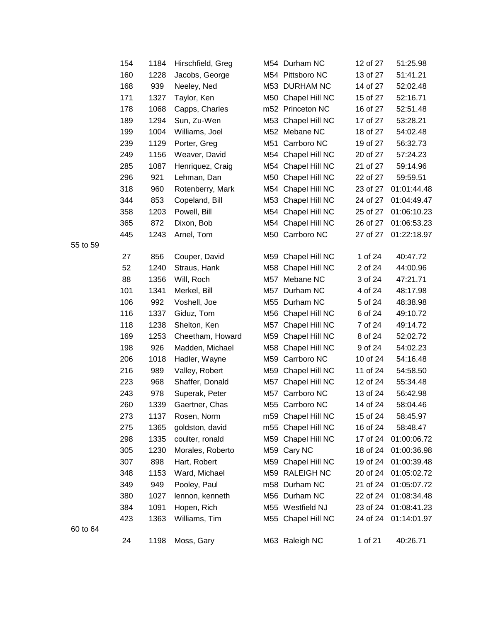| 154 | 1184 | Hirschfield, Greg |     | M54 Durham NC      | 12 of 27 | 51:25.98    |
|-----|------|-------------------|-----|--------------------|----------|-------------|
| 160 | 1228 | Jacobs, George    |     | M54 Pittsboro NC   | 13 of 27 | 51:41.21    |
| 168 | 939  | Neeley, Ned       |     | M53 DURHAM NC      | 14 of 27 | 52:02.48    |
| 171 | 1327 | Taylor, Ken       | M50 | Chapel Hill NC     | 15 of 27 | 52:16.71    |
| 178 | 1068 | Capps, Charles    |     | m52 Princeton NC   | 16 of 27 | 52:51.48    |
| 189 | 1294 | Sun, Zu-Wen       |     | M53 Chapel Hill NC | 17 of 27 | 53:28.21    |
| 199 | 1004 | Williams, Joel    |     | M52 Mebane NC      | 18 of 27 | 54:02.48    |
| 239 | 1129 | Porter, Greg      | M51 | Carrboro NC        | 19 of 27 | 56:32.73    |
| 249 | 1156 | Weaver, David     |     | M54 Chapel Hill NC | 20 of 27 | 57:24.23    |
| 285 | 1087 | Henriquez, Craig  |     | M54 Chapel Hill NC | 21 of 27 | 59:14.96    |
| 296 | 921  | Lehman, Dan       | M50 | Chapel Hill NC     | 22 of 27 | 59:59.51    |
| 318 | 960  | Rotenberry, Mark  |     | M54 Chapel Hill NC | 23 of 27 | 01:01:44.48 |
| 344 | 853  | Copeland, Bill    |     | M53 Chapel Hill NC | 24 of 27 | 01:04:49.47 |
| 358 | 1203 | Powell, Bill      |     | M54 Chapel Hill NC | 25 of 27 | 01:06:10.23 |
| 365 | 872  | Dixon, Bob        |     | M54 Chapel Hill NC | 26 of 27 | 01:06:53.23 |
| 445 | 1243 | Arnel, Tom        |     | M50 Carrboro NC    | 27 of 27 | 01:22:18.97 |
| 27  | 856  | Couper, David     | M59 | Chapel Hill NC     | 1 of 24  | 40:47.72    |
| 52  | 1240 | Straus, Hank      |     | M58 Chapel Hill NC | 2 of 24  | 44:00.96    |
| 88  | 1356 | Will, Roch        | M57 | Mebane NC          | 3 of 24  | 47:21.71    |
| 101 | 1341 | Merkel, Bill      | M57 | Durham NC          | 4 of 24  | 48:17.98    |
| 106 | 992  | Voshell, Joe      |     | M55 Durham NC      | 5 of 24  | 48:38.98    |
| 116 | 1337 | Giduz, Tom        | M56 | Chapel Hill NC     | 6 of 24  | 49:10.72    |
| 118 | 1238 | Shelton, Ken      | M57 | Chapel Hill NC     | 7 of 24  | 49:14.72    |
| 169 | 1253 | Cheetham, Howard  | M59 | Chapel Hill NC     | 8 of 24  | 52:02.72    |
| 198 | 926  | Madden, Michael   | M58 | Chapel Hill NC     | 9 of 24  | 54:02.23    |
| 206 | 1018 | Hadler, Wayne     |     | M59 Carrboro NC    | 10 of 24 | 54:16.48    |
| 216 | 989  | Valley, Robert    | M59 | Chapel Hill NC     | 11 of 24 | 54:58.50    |
| 223 | 968  | Shaffer, Donald   |     | M57 Chapel Hill NC | 12 of 24 | 55:34.48    |
| 243 | 978  | Superak, Peter    | M57 | Carrboro NC        | 13 of 24 | 56:42.98    |
| 260 | 1339 | Gaertner, Chas    |     | M55 Carrboro NC    | 14 of 24 | 58:04.46    |
| 273 | 1137 | Rosen, Norm       |     | m59 Chapel Hill NC | 15 of 24 | 58:45.97    |
| 275 | 1365 | goldston, david   | m55 | Chapel Hill NC     | 16 of 24 | 58:48.47    |
| 298 | 1335 | coulter, ronald   |     | M59 Chapel Hill NC | 17 of 24 | 01:00:06.72 |
| 305 | 1230 | Morales, Roberto  |     | M59 Cary NC        | 18 of 24 | 01:00:36.98 |
| 307 | 898  | Hart, Robert      |     | M59 Chapel Hill NC | 19 of 24 | 01:00:39.48 |
| 348 | 1153 | Ward, Michael     |     | M59 RALEIGH NC     | 20 of 24 | 01:05:02.72 |
| 349 | 949  | Pooley, Paul      |     | m58 Durham NC      | 21 of 24 | 01:05:07.72 |
| 380 | 1027 | lennon, kenneth   |     | M56 Durham NC      | 22 of 24 | 01:08:34.48 |
| 384 | 1091 | Hopen, Rich       |     | M55 Westfield NJ   | 23 of 24 | 01:08:41.23 |
| 423 | 1363 | Williams, Tim     |     | M55 Chapel Hill NC | 24 of 24 | 01:14:01.97 |
| 24  | 1198 | Moss, Gary        |     | M63 Raleigh NC     | 1 of 21  | 40:26.71    |